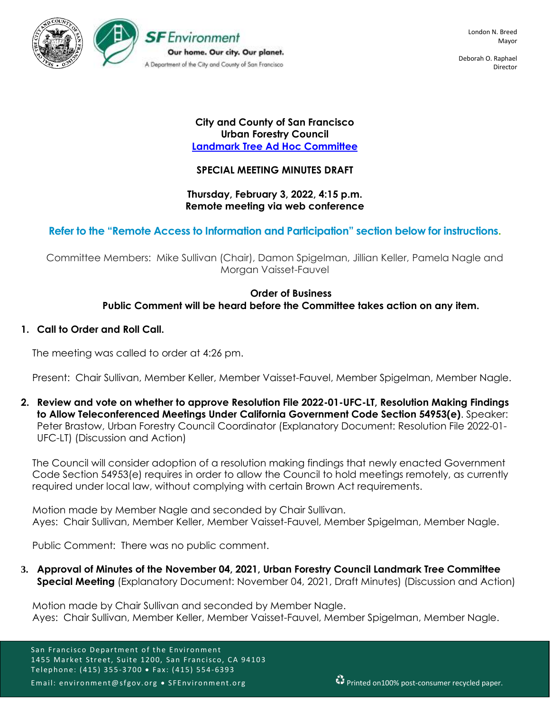

Deborah O. Raphael Director

## **City and County of San Francisco Urban Forestry Council [Landmark Tree Ad Hoc Committee](https://sfenvironment.org/event/february-3-2022-urban-forestry-council-landmark-tree-ad-hoc-committee-meeting-notice)**

## **SPECIAL MEETING MINUTES DRAFT**

## **Thursday, February 3, 2022, 4:15 p.m. Remote meeting via web conference**

# **Refer to the "Remote Access to Information and Participation" section below for instructions.**

Committee Members: Mike Sullivan (Chair), Damon Spigelman, Jillian Keller, Pamela Nagle and Morgan Vaisset-Fauvel

## **Order of Business Public Comment will be heard before the Committee takes action on any item.**

## **1. Call to Order and Roll Call.**

The meeting was called to order at 4:26 pm.

Present: Chair Sullivan, Member Keller, Member Vaisset-Fauvel, Member Spigelman, Member Nagle.

**2. Review and vote on whether to approve Resolution File 2022-01-UFC-LT, Resolution Making Findings to Allow Teleconferenced Meetings Under California Government Code Section 54953(e)**. Speaker: Peter Brastow, Urban Forestry Council Coordinator (Explanatory Document: Resolution File 2022-01- UFC-LT) (Discussion and Action)

The Council will consider adoption of a resolution making findings that newly enacted Government Code Section 54953(e) requires in order to allow the Council to hold meetings remotely, as currently required under local law, without complying with certain Brown Act requirements.

Motion made by Member Nagle and seconded by Chair Sullivan. Ayes: Chair Sullivan, Member Keller, Member Vaisset-Fauvel, Member Spigelman, Member Nagle.

Public Comment: There was no public comment.

**3. Approval of Minutes of the November 04, 2021, Urban Forestry Council Landmark Tree Committee Special Meeting** (Explanatory Document: November 04, 2021, Draft Minutes) (Discussion and Action)

Motion made by Chair Sullivan and seconded by Member Nagle. Ayes: Chair Sullivan, Member Keller, Member Vaisset-Fauvel, Member Spigelman, Member Nagle.

San Francisco Department of the Environment 1455 Market Street, Suite 1200, San Francisco, CA 94103 Telephone: (415) 355-3700 • Fax: (415) 554-6393 Email: environment@sfgov.org • SFEnvironment.org Printed on100% post-consumer recycled paper.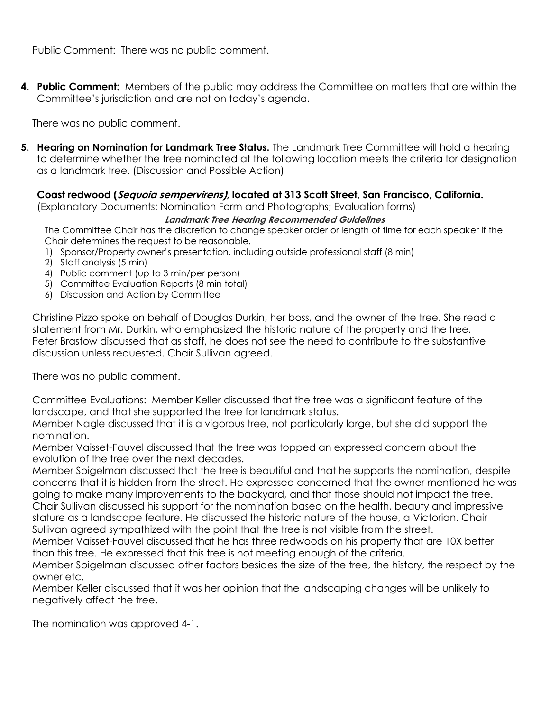Public Comment: There was no public comment.

**4. Public Comment:** Members of the public may address the Committee on matters that are within the Committee's jurisdiction and are not on today's agenda.

There was no public comment.

**5. Hearing on Nomination for Landmark Tree Status.** The Landmark Tree Committee will hold a hearing to determine whether the tree nominated at the following location meets the criteria for designation as a landmark tree. (Discussion and Possible Action)

**Coast redwood (Sequoia sempervirens), located at 313 Scott Street, San Francisco, California.** 

(Explanatory Documents: Nomination Form and Photographs; Evaluation forms)

## **Landmark Tree Hearing Recommended Guidelines**

The Committee Chair has the discretion to change speaker order or length of time for each speaker if the Chair determines the request to be reasonable.

- 1) Sponsor/Property owner's presentation, including outside professional staff (8 min)
- 2) Staff analysis (5 min)
- 4) Public comment (up to 3 min/per person)
- 5) Committee Evaluation Reports (8 min total)
- 6) Discussion and Action by Committee

Christine Pizzo spoke on behalf of Douglas Durkin, her boss, and the owner of the tree. She read a statement from Mr. Durkin, who emphasized the historic nature of the property and the tree. Peter Brastow discussed that as staff, he does not see the need to contribute to the substantive discussion unless requested. Chair Sullivan agreed.

There was no public comment.

Committee Evaluations: Member Keller discussed that the tree was a significant feature of the landscape, and that she supported the tree for landmark status.

Member Nagle discussed that it is a vigorous tree, not particularly large, but she did support the nomination.

Member Vaisset-Fauvel discussed that the tree was topped an expressed concern about the evolution of the tree over the next decades.

Member Spigelman discussed that the tree is beautiful and that he supports the nomination, despite concerns that it is hidden from the street. He expressed concerned that the owner mentioned he was going to make many improvements to the backyard, and that those should not impact the tree. Chair Sullivan discussed his support for the nomination based on the health, beauty and impressive stature as a landscape feature. He discussed the historic nature of the house, a Victorian. Chair Sullivan agreed sympathized with the point that the tree is not visible from the street.

Member Vaisset-Fauvel discussed that he has three redwoods on his property that are 10X better than this tree. He expressed that this tree is not meeting enough of the criteria.

Member Spigelman discussed other factors besides the size of the tree, the history, the respect by the owner etc.

Member Keller discussed that it was her opinion that the landscaping changes will be unlikely to negatively affect the tree.

The nomination was approved 4-1.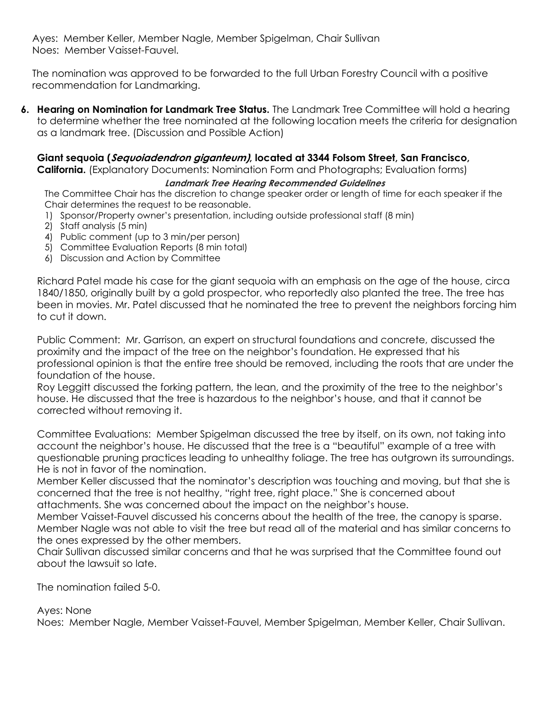Ayes: Member Keller, Member Nagle, Member Spigelman, Chair Sullivan Noes: Member Vaisset-Fauvel.

The nomination was approved to be forwarded to the full Urban Forestry Council with a positive recommendation for Landmarking.

**6. Hearing on Nomination for Landmark Tree Status.** The Landmark Tree Committee will hold a hearing to determine whether the tree nominated at the following location meets the criteria for designation as a landmark tree. (Discussion and Possible Action)

# **Giant sequoia (Sequoiadendron giganteum), located at 3344 Folsom Street, San Francisco,**

**California.** (Explanatory Documents: Nomination Form and Photographs; Evaluation forms)

## **Landmark Tree Hearing Recommended Guidelines**

The Committee Chair has the discretion to change speaker order or length of time for each speaker if the Chair determines the request to be reasonable.

- 1) Sponsor/Property owner's presentation, including outside professional staff (8 min)
- 2) Staff analysis (5 min)
- 4) Public comment (up to 3 min/per person)
- 5) Committee Evaluation Reports (8 min total)
- 6) Discussion and Action by Committee

Richard Patel made his case for the giant sequoia with an emphasis on the age of the house, circa 1840/1850, originally built by a gold prospector, who reportedly also planted the tree. The tree has been in movies. Mr. Patel discussed that he nominated the tree to prevent the neighbors forcing him to cut it down.

Public Comment: Mr. Garrison, an expert on structural foundations and concrete, discussed the proximity and the impact of the tree on the neighbor's foundation. He expressed that his professional opinion is that the entire tree should be removed, including the roots that are under the foundation of the house.

Roy Leggitt discussed the forking pattern, the lean, and the proximity of the tree to the neighbor's house. He discussed that the tree is hazardous to the neighbor's house, and that it cannot be corrected without removing it.

Committee Evaluations: Member Spigelman discussed the tree by itself, on its own, not taking into account the neighbor's house. He discussed that the tree is a "beautiful" example of a tree with questionable pruning practices leading to unhealthy foliage. The tree has outgrown its surroundings. He is not in favor of the nomination.

Member Keller discussed that the nominator's description was touching and moving, but that she is concerned that the tree is not healthy, "right tree, right place." She is concerned about attachments. She was concerned about the impact on the neighbor's house.

Member Vaisset-Fauvel discussed his concerns about the health of the tree, the canopy is sparse. Member Nagle was not able to visit the tree but read all of the material and has similar concerns to the ones expressed by the other members.

Chair Sullivan discussed similar concerns and that he was surprised that the Committee found out about the lawsuit so late.

The nomination failed 5-0.

## Ayes: None

Noes: Member Nagle, Member Vaisset-Fauvel, Member Spigelman, Member Keller, Chair Sullivan.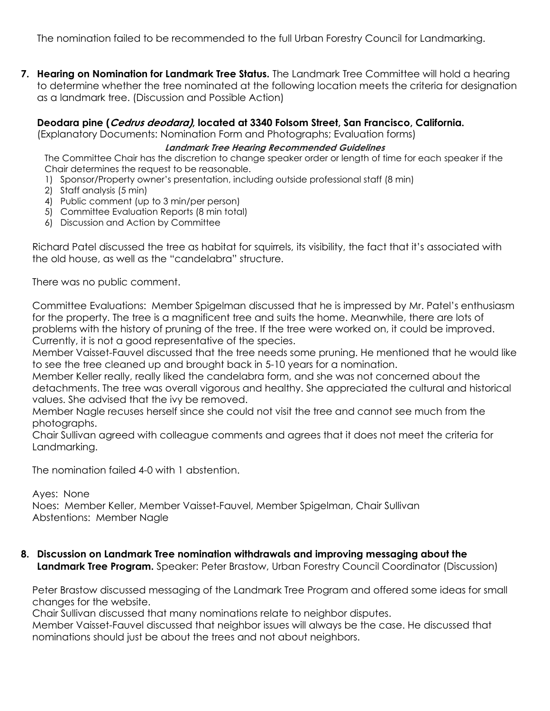The nomination failed to be recommended to the full Urban Forestry Council for Landmarking.

**7. Hearing on Nomination for Landmark Tree Status.** The Landmark Tree Committee will hold a hearing to determine whether the tree nominated at the following location meets the criteria for designation as a landmark tree. (Discussion and Possible Action)

## **Deodara pine (Cedrus deodara), located at 3340 Folsom Street, San Francisco, California.**

(Explanatory Documents: Nomination Form and Photographs; Evaluation forms)

## **Landmark Tree Hearing Recommended Guidelines**

The Committee Chair has the discretion to change speaker order or length of time for each speaker if the Chair determines the request to be reasonable.

- 1) Sponsor/Property owner's presentation, including outside professional staff (8 min)
- 2) Staff analysis (5 min)
- 4) Public comment (up to 3 min/per person)
- 5) Committee Evaluation Reports (8 min total)
- 6) Discussion and Action by Committee

Richard Patel discussed the tree as habitat for squirrels, its visibility, the fact that it's associated with the old house, as well as the "candelabra" structure.

There was no public comment.

Committee Evaluations: Member Spigelman discussed that he is impressed by Mr. Patel's enthusiasm for the property. The tree is a magnificent tree and suits the home. Meanwhile, there are lots of problems with the history of pruning of the tree. If the tree were worked on, it could be improved. Currently, it is not a good representative of the species.

Member Vaisset-Fauvel discussed that the tree needs some pruning. He mentioned that he would like to see the tree cleaned up and brought back in 5-10 years for a nomination.

Member Keller really, really liked the candelabra form, and she was not concerned about the detachments. The tree was overall vigorous and healthy. She appreciated the cultural and historical values. She advised that the ivy be removed.

Member Nagle recuses herself since she could not visit the tree and cannot see much from the photographs.

Chair Sullivan agreed with colleague comments and agrees that it does not meet the criteria for Landmarking.

The nomination failed 4-0 with 1 abstention.

Ayes: None Noes: Member Keller, Member Vaisset-Fauvel, Member Spigelman, Chair Sullivan Abstentions: Member Nagle

**8. Discussion on Landmark Tree nomination withdrawals and improving messaging about the Landmark Tree Program.** Speaker: Peter Brastow, Urban Forestry Council Coordinator (Discussion)

Peter Brastow discussed messaging of the Landmark Tree Program and offered some ideas for small changes for the website.

Chair Sullivan discussed that many nominations relate to neighbor disputes.

Member Vaisset-Fauvel discussed that neighbor issues will always be the case. He discussed that nominations should just be about the trees and not about neighbors.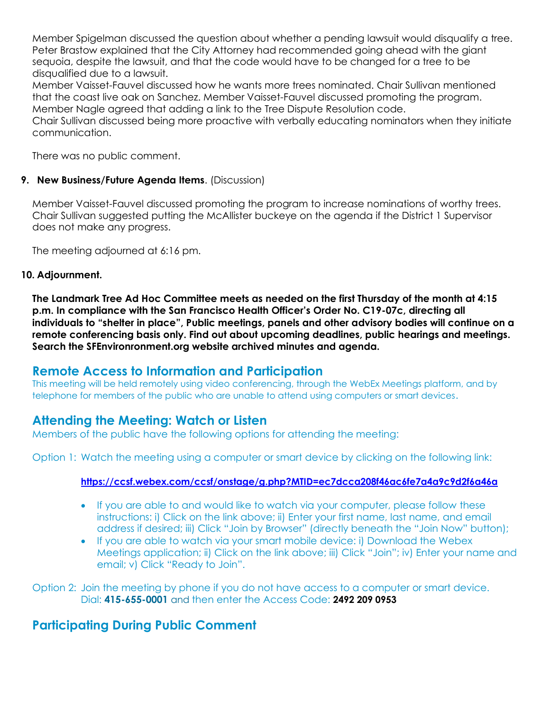Member Spigelman discussed the question about whether a pending lawsuit would disqualify a tree. Peter Brastow explained that the City Attorney had recommended going ahead with the giant sequoia, despite the lawsuit, and that the code would have to be changed for a tree to be disqualified due to a lawsuit.

Member Vaisset-Fauvel discussed how he wants more trees nominated. Chair Sullivan mentioned that the coast live oak on Sanchez. Member Vaisset-Fauvel discussed promoting the program. Member Nagle agreed that adding a link to the Tree Dispute Resolution code.

Chair Sullivan discussed being more proactive with verbally educating nominators when they initiate communication.

There was no public comment.

## **9. New Business/Future Agenda Items**. (Discussion)

Member Vaisset-Fauvel discussed promoting the program to increase nominations of worthy trees. Chair Sullivan suggested putting the McAllister buckeye on the agenda if the District 1 Supervisor does not make any progress.

The meeting adjourned at 6:16 pm.

## **10. Adjournment.**

**The Landmark Tree Ad Hoc Committee meets as needed on the first Thursday of the month at 4:15 p.m. In compliance with the San Francisco Health Officer's Order No. C19-07c, directing all individuals to "shelter in place", Public meetings, panels and other advisory bodies will continue on a remote conferencing basis only. Find out about upcoming deadlines, public hearings and meetings. Search the SFEnvironronment.org website archived minutes and agenda.**

# **Remote Access to Information and Participation**

This meeting will be held remotely using video conferencing, through the WebEx Meetings platform, and by telephone for members of the public who are unable to attend using computers or smart devices.

# **Attending the Meeting: Watch or Listen**

Members of the public have the following options for attending the meeting:

Option 1: Watch the meeting using a computer or smart device by clicking on the following link:

## **<https://ccsf.webex.com/ccsf/onstage/g.php?MTID=ec7dcca208f46ac6fe7a4a9c9d2f6a46a>**

- If you are able to and would like to watch via your computer, please follow these instructions: i) Click on the link above; ii) Enter your first name, last name, and email address if desired; iii) Click "Join by Browser" (directly beneath the "Join Now" button);
- If you are able to watch via your smart mobile device: i) Download the Webex Meetings application; ii) Click on the link above; iii) Click "Join"; iv) Enter your name and email; v) Click "Ready to Join".

Option 2: Join the meeting by phone if you do not have access to a computer or smart device. Dial: **415-655-0001** and then enter the Access Code: **2492 209 0953**

# **Participating During Public Comment**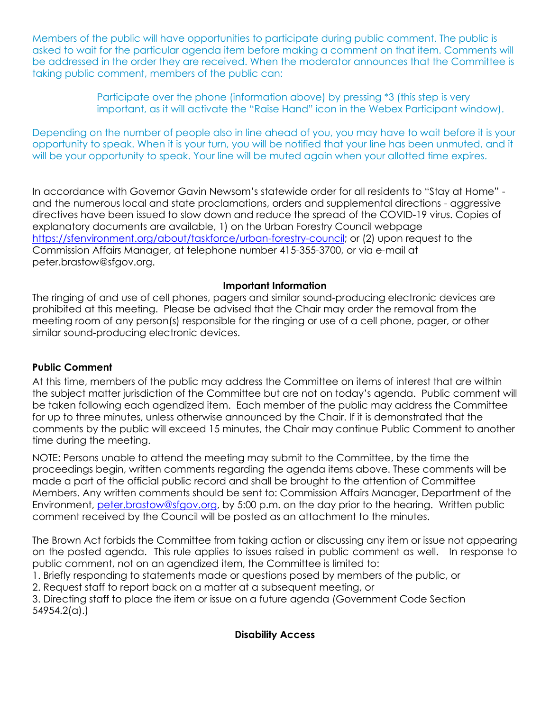Members of the public will have opportunities to participate during public comment. The public is asked to wait for the particular agenda item before making a comment on that item. Comments will be addressed in the order they are received. When the moderator announces that the Committee is taking public comment, members of the public can:

> Participate over the phone (information above) by pressing \*3 (this step is very important, as it will activate the "Raise Hand" icon in the Webex Participant window).

Depending on the number of people also in line ahead of you, you may have to wait before it is your opportunity to speak. When it is your turn, you will be notified that your line has been unmuted, and it will be your opportunity to speak. Your line will be muted again when your allotted time expires.

In accordance with Governor Gavin Newsom's statewide order for all residents to "Stay at Home" and the numerous local and state proclamations, orders and supplemental directions - aggressive directives have been issued to slow down and reduce the spread of the COVID-19 virus. Copies of explanatory documents are available, 1) on the Urban Forestry Council webpage [https://sfenvironment.org/about/taskforce/urban-forestry-council;](https://sfenvironment.org/about/taskforce/urban-forestry-council) or (2) upon request to the Commission Affairs Manager, at telephone number 415-355-3700, or via e-mail at peter.brastow@sfgov.org.

## **Important Information**

The ringing of and use of cell phones, pagers and similar sound-producing electronic devices are prohibited at this meeting. Please be advised that the Chair may order the removal from the meeting room of any person(s) responsible for the ringing or use of a cell phone, pager, or other similar sound-producing electronic devices.

## **Public Comment**

At this time, members of the public may address the Committee on items of interest that are within the subject matter jurisdiction of the Committee but are not on today's agenda. Public comment will be taken following each agendized item. Each member of the public may address the Committee for up to three minutes, unless otherwise announced by the Chair. If it is demonstrated that the comments by the public will exceed 15 minutes, the Chair may continue Public Comment to another time during the meeting.

NOTE: Persons unable to attend the meeting may submit to the Committee, by the time the proceedings begin, written comments regarding the agenda items above. These comments will be made a part of the official public record and shall be brought to the attention of Committee Members. Any written comments should be sent to: Commission Affairs Manager, Department of the Environment, [peter.brastow@sfgov.org,](mailto:katie.chansler@sfgov.org) by 5:00 p.m. on the day prior to the hearing. Written public comment received by the Council will be posted as an attachment to the minutes.

The Brown Act forbids the Committee from taking action or discussing any item or issue not appearing on the posted agenda. This rule applies to issues raised in public comment as well. In response to public comment, not on an agendized item, the Committee is limited to:

- 1. Briefly responding to statements made or questions posed by members of the public, or
- 2. Request staff to report back on a matter at a subsequent meeting, or

3. Directing staff to place the item or issue on a future agenda (Government Code Section 54954.2(a).)

# **Disability Access**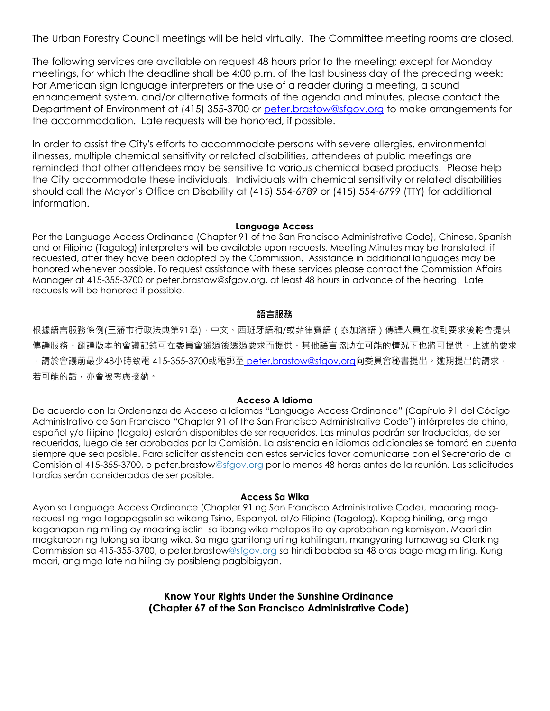The Urban Forestry Council meetings will be held virtually. The Committee meeting rooms are closed.

The following services are available on request 48 hours prior to the meeting; except for Monday meetings, for which the deadline shall be 4:00 p.m. of the last business day of the preceding week: For American sign language interpreters or the use of a reader during a meeting, a sound enhancement system, and/or alternative formats of the agenda and minutes, please contact the Department of Environment at (415) 355-3700 or [peter.brastow@sfgov.org](mailto:katie.chansler@sfgov.org) to make arrangements for the accommodation. Late requests will be honored, if possible.

In order to assist the City's efforts to accommodate persons with severe allergies, environmental illnesses, multiple chemical sensitivity or related disabilities, attendees at public meetings are reminded that other attendees may be sensitive to various chemical based products. Please help the City accommodate these individuals. Individuals with chemical sensitivity or related disabilities should call the Mayor's Office on Disability at (415) 554-6789 or (415) 554-6799 (TTY) for additional information.

#### **Language Access**

Per the Language Access Ordinance (Chapter 91 of the San Francisco Administrative Code), Chinese, Spanish and or Filipino (Tagalog) interpreters will be available upon requests. Meeting Minutes may be translated, if requested, after they have been adopted by the Commission. Assistance in additional languages may be honored whenever possible. To request assistance with these services please contact the Commission Affairs Manager at 415-355-3700 or peter.brastow@sfgov.org, at least 48 hours in advance of the hearing. Late requests will be honored if possible.

#### **語言服務**

根據語言服務條例(三藩市行政法典第91章),中文、西班牙語和/或菲律賓語(泰加洛語)傳譯人員在收到要求後將會提供 傳譯服務。翻譯版本的會議記錄可在委員會通過後透過要求而提供。其他語言協助在可能的情況下也將可提供。上述的要求  $\cdot$ 請於會議前最少48小時致電 415-355-3700或電郵至 [peter.brastow@sfgov.org](mailto:%20katie.chansler@sfgov.org)向委員會秘書提出。逾期提出的請求, 若可能的話,亦會被考慮接納。

### **Acceso A Idioma**

De acuerdo con la Ordenanza de Acceso a Idiomas "Language Access Ordinance" (Capítulo 91 del Código Administrativo de San Francisco "Chapter 91 of the San Francisco Administrative Code") intérpretes de chino, español y/o filipino (tagalo) estarán disponibles de ser requeridos. Las minutas podrán ser traducidas, de ser requeridas, luego de ser aprobadas por la Comisión. La asistencia en idiomas adicionales se tomará en cuenta siempre que sea posible. Para solicitar asistencia con estos servicios favor comunicarse con el Secretario de la Comisión al 415-355-3700, o peter.brastow@sfgov.org por lo menos 48 horas antes de la reunión. Las solicitudes tardías serán consideradas de ser posible.

#### **Access Sa Wika**

Ayon sa Language Access Ordinance (Chapter 91 ng San Francisco Administrative Code), maaaring magrequest ng mga tagapagsalin sa wikang Tsino, Espanyol, at/o Filipino (Tagalog). Kapag hiniling, ang mga kaganapan ng miting ay maaring isalin sa ibang wika matapos ito ay aprobahan ng komisyon. Maari din magkaroon ng tulong sa ibang wika. Sa mga ganitong uri ng kahilingan, mangyaring tumawag sa Clerk ng Commission sa 415-355-3700, o peter.brastow@sfgov.org sa hindi bababa sa 48 oras bago mag miting. Kung maari, ang mga late na hiling ay posibleng pagbibigyan.

> **Know Your Rights Under the Sunshine Ordinance (Chapter 67 of the San Francisco Administrative Code)**